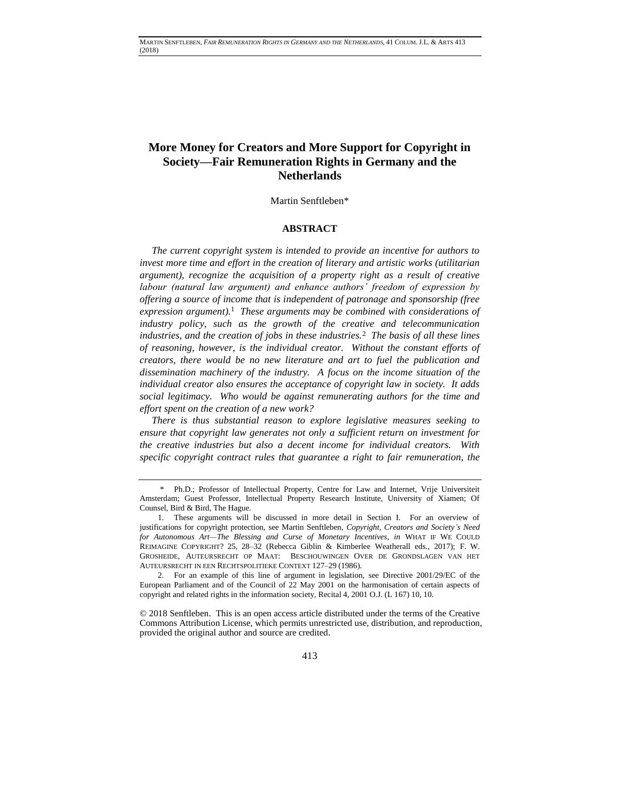# **More Money for Creators and More Support for Copyright in Society—Fair Remuneration Rights in Germany and the Netherlands**

Martin Senftleben\*

# <span id="page-0-0"></span>**ABSTRACT**

*The current copyright system is intended to provide an incentive for authors to invest more time and effort in the creation of literary and artistic works (utilitarian argument), recognize the acquisition of a property right as a result of creative labour (natural law argument) and enhance authors' freedom of expression by offering a source of income that is independent of patronage and sponsorship (free expression argument).*<sup>1</sup>  *These arguments may be combined with considerations of industry policy, such as the growth of the creative and telecommunication industries, and the creation of jobs in these industries.*<sup>2</sup>  *The basis of all these lines of reasoning, however, is the individual creator. Without the constant efforts of creators, there would be no new literature and art to fuel the publication and dissemination machinery of the industry. A focus on the income situation of the individual creator also ensures the acceptance of copyright law in society. It adds social legitimacy. Who would be against remunerating authors for the time and effort spent on the creation of a new work?*

*There is thus substantial reason to explore legislative measures seeking to ensure that copyright law generates not only a sufficient return on investment for the creative industries but also a decent income for individual creators. With specific copyright contract rules that guarantee a right to fair remuneration, the* 

© 2018 Senftleben. This is an open access article distributed under the terms of the [Creative](https://creativecommons.org/licenses/by/4.0/)  [Commons Attribution License,](https://creativecommons.org/licenses/by/4.0/) which permits unrestricted use, distribution, and reproduction, provided the original author and source are credited.

<sup>\*</sup> Ph.D.; Professor of Intellectual Property, Centre for Law and Internet, Vrije Universiteit Amsterdam; Guest Professor, Intellectual Property Research Institute, University of Xiamen; Of Counsel, Bird & Bird, The Hague.

<sup>1.</sup> These arguments will be discussed in more detail in Section I. For an overview of justifications for copyright protection, see Martin Senftleben, *Copyright, Creators and Society's Need for Autonomous Art—The Blessing and Curse of Monetary Incentives*, *in* WHAT IF WE COULD REIMAGINE COPYRIGHT? 25, 28–32 (Rebecca Giblin & Kimberlee Weatherall eds., 2017); F. W. GROSHEIDE, AUTEURSRECHT OP MAAT: BESCHOUWINGEN OVER DE GRONDSLAGEN VAN HET AUTEURSRECHT IN EEN RECHTSPOLITIEKE CONTEXT 127–29 (1986).

<sup>2.</sup> For an example of this line of argument in legislation, see Directive 2001/29/EC of the European Parliament and of the Council of 22 May 2001 on the harmonisation of certain aspects of copyright and related rights in the information society, Recital 4, 2001 O.J. (L 167) 10, 10.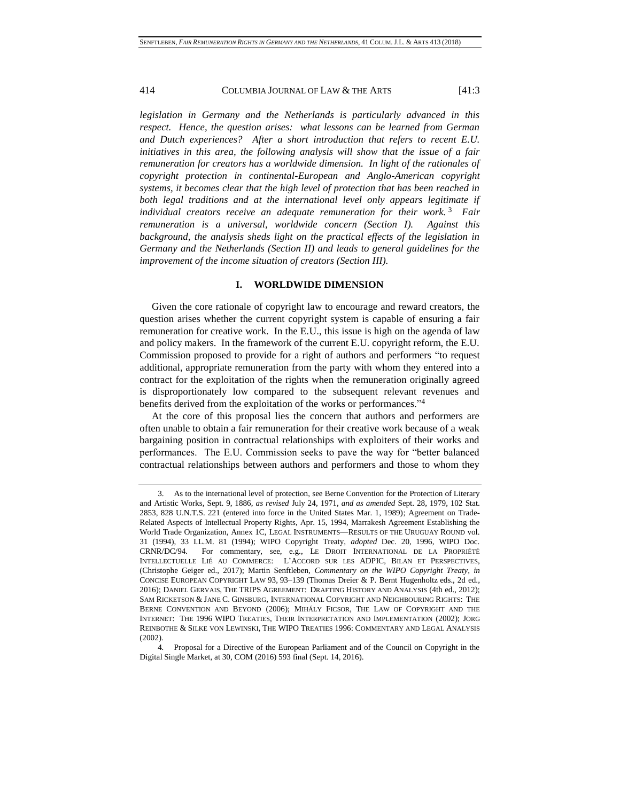*legislation in Germany and the Netherlands is particularly advanced in this respect. Hence, the question arises: what lessons can be learned from German and Dutch experiences? After a short introduction that refers to recent E.U. initiatives in this area, the following analysis will show that the issue of a fair remuneration for creators has a worldwide dimension. In light of the rationales of copyright protection in continental-European and Anglo-American copyright systems, it becomes clear that the high level of protection that has been reached in*  both legal traditions and at the international level only appears legitimate if *individual creators receive an adequate remuneration for their work.* <sup>3</sup>  *Fair remuneration is a universal, worldwide concern (Section I). Against this background, the analysis sheds light on the practical effects of the legislation in Germany and the Netherlands (Section II) and leads to general guidelines for the improvement of the income situation of creators (Section III).*

### <span id="page-1-0"></span>**I. WORLDWIDE DIMENSION**

Given the core rationale of copyright law to encourage and reward creators, the question arises whether the current copyright system is capable of ensuring a fair remuneration for creative work. In the E.U., this issue is high on the agenda of law and policy makers. In the framework of the current E.U. copyright reform, the E.U. Commission proposed to provide for a right of authors and performers "to request additional, appropriate remuneration from the party with whom they entered into a contract for the exploitation of the rights when the remuneration originally agreed is disproportionately low compared to the subsequent relevant revenues and benefits derived from the exploitation of the works or performances." 4

At the core of this proposal lies the concern that authors and performers are often unable to obtain a fair remuneration for their creative work because of a weak bargaining position in contractual relationships with exploiters of their works and performances. The E.U. Commission seeks to pave the way for "better balanced contractual relationships between authors and performers and those to whom they

<sup>3.</sup> As to the international level of protection, see Berne Convention for the Protection of Literary and Artistic Works, Sept. 9, 1886, *as revised* July 24, 1971, *and as amended* Sept. 28, 1979, 102 Stat. 2853, 828 U.N.T.S. 221 (entered into force in the United States Mar. 1, 1989); Agreement on Trade-Related Aspects of Intellectual Property Rights, Apr. 15, 1994, Marrakesh Agreement Establishing the World Trade Organization, Annex 1C, LEGAL INSTRUMENTS––RESULTS OF THE URUGUAY ROUND vol. 31 (1994), 33 I.L.M. 81 (1994); WIPO Copyright Treaty, *adopted* Dec. 20, 1996, WIPO Doc. CRNR/DC/94. For commentary, see, e.g., LE DROIT INTERNATIONAL DE LA PROPRIÉTÉ INTELLECTUELLE LIÉ AU COMMERCE: L'ACCORD SUR LES ADPIC, BILAN ET PERSPECTIVES, (Christophe Geiger ed., 2017); Martin Senftleben, *Commentary on the WIPO Copyright Treaty*, *in* CONCISE EUROPEAN COPYRIGHT LAW 93, 93–139 (Thomas Dreier & P. Bernt Hugenholtz eds., 2d ed., 2016); DANIEL GERVAIS, THE TRIPS AGREEMENT: DRAFTING HISTORY AND ANALYSIS (4th ed., 2012); SAM RICKETSON & JANE C. GINSBURG, INTERNATIONAL COPYRIGHT AND NEIGHBOURING RIGHTS: THE BERNE CONVENTION AND BEYOND (2006); MIHÁLY FICSOR, THE LAW OF COPYRIGHT AND THE INTERNET: THE 1996 WIPO TREATIES, THEIR INTERPRETATION AND IMPLEMENTATION (2002); JÖRG REINBOTHE & SILKE VON LEWINSKI, THE WIPO TREATIES 1996: COMMENTARY AND LEGAL ANALYSIS (2002).

<sup>4</sup>*.* Proposal for a Directive of the European Parliament and of the Council on Copyright in the Digital Single Market, at 30, COM (2016) 593 final (Sept. 14, 2016).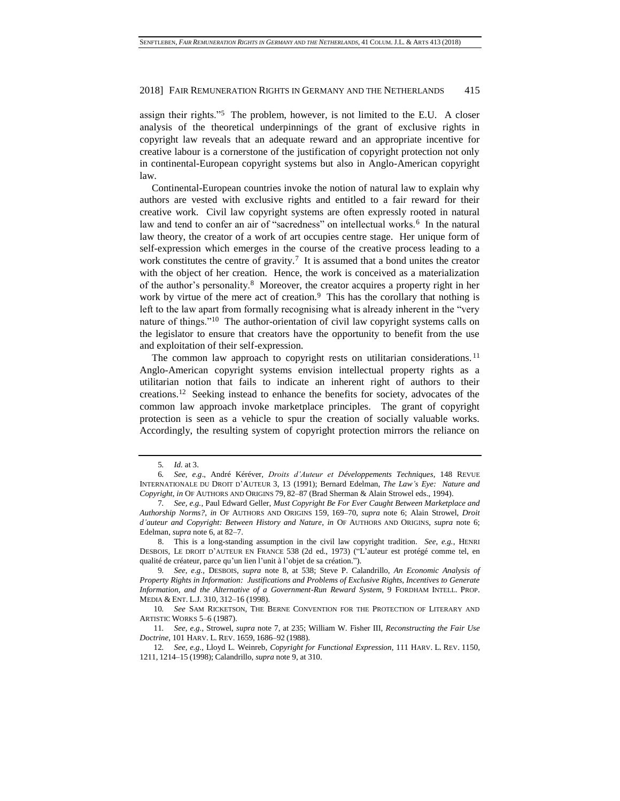assign their rights."<sup>5</sup> The problem, however, is not limited to the E.U. A closer analysis of the theoretical underpinnings of the grant of exclusive rights in copyright law reveals that an adequate reward and an appropriate incentive for creative labour is a cornerstone of the justification of copyright protection not only in continental-European copyright systems but also in Anglo-American copyright law.

<span id="page-2-2"></span><span id="page-2-0"></span>Continental-European countries invoke the notion of natural law to explain why authors are vested with exclusive rights and entitled to a fair reward for their creative work. Civil law copyright systems are often expressly rooted in natural law and tend to confer an air of "sacredness" on intellectual works.<sup>6</sup> In the natural law theory, the creator of a work of art occupies centre stage. Her unique form of self-expression which emerges in the course of the creative process leading to a work constitutes the centre of gravity.<sup>7</sup> It is assumed that a bond unites the creator with the object of her creation. Hence, the work is conceived as a materialization of the author's personality.<sup>8</sup> Moreover, the creator acquires a property right in her work by virtue of the mere act of creation.<sup>9</sup> This has the corollary that nothing is left to the law apart from formally recognising what is already inherent in the "very nature of things."<sup>10</sup> The author-orientation of civil law copyright systems calls on the legislator to ensure that creators have the opportunity to benefit from the use and exploitation of their self-expression.

<span id="page-2-5"></span><span id="page-2-4"></span><span id="page-2-3"></span><span id="page-2-1"></span>The common law approach to copyright rests on utilitarian considerations.<sup>11</sup> Anglo-American copyright systems envision intellectual property rights as a utilitarian notion that fails to indicate an inherent right of authors to their creations.<sup>12</sup> Seeking instead to enhance the benefits for society, advocates of the common law approach invoke marketplace principles. The grant of copyright protection is seen as a vehicle to spur the creation of socially valuable works. Accordingly, the resulting system of copyright protection mirrors the reliance on

<sup>5</sup>*. Id.* at 3.

<sup>6</sup>*. See, e.g*., André Kéréver, *Droits d'Auteur et Développements Techniques*, 148 REVUE INTERNATIONALE DU DROIT D'AUTEUR 3, 13 (1991); Bernard Edelman, *The Law's Eye: Nature and Copyright*, *in* OF AUTHORS AND ORIGINS 79, 82–87 (Brad Sherman & Alain Strowel eds., 1994).

<sup>7</sup>*. See, e.g.*, Paul Edward Geller, *Must Copyright Be For Ever Caught Between Marketplace and Authorship Norms?*, *in* OF AUTHORS AND ORIGINS 159, 169–70, *supra* note [6;](#page-2-0) Alain Strowel, *Droit d'auteur and Copyright: Between History and Nature*, *in* OF AUTHORS AND ORIGINS, *supra* note [6;](#page-2-0) Edelman, *supra* not[e 6,](#page-2-0) at 82–7.

<sup>8.</sup> This is a long-standing assumption in the civil law copyright tradition. *See, e.g.*, HENRI DESBOIS, LE DROIT D'AUTEUR EN FRANCE 538 (2d ed., 1973) ("L'auteur est protégé comme tel, en qualité de créateur, parce qu'un lien l'unit à l'objet de sa création.").

<sup>9</sup>*. See, e.g.*, DESBOIS, *supra* note [8,](#page-2-1) at 538; Steve P. Calandrillo, *An Economic Analysis of Property Rights in Information: Justifications and Problems of Exclusive Rights, Incentives to Generate Information, and the Alternative of a Government-Run Reward System*, 9 FORDHAM INTELL. PROP. MEDIA & ENT. L.J. 310, 312–16 (1998).

<sup>10</sup>*. See* SAM RICKETSON, THE BERNE CONVENTION FOR THE PROTECTION OF LITERARY AND ARTISTIC WORKS 5–6 (1987).

<sup>11</sup>*. See, e.g.*, Strowel, *supra* note [7,](#page-2-2) at 235; William W. Fisher III, *Reconstructing the Fair Use Doctrine*, 101 HARV. L. REV. 1659, 1686–92 (1988).

<sup>12</sup>*. See, e.g.*, Lloyd L. Weinreb, *Copyright for Functional Expression*, 111 HARV. L. REV. 1150, 1211, 1214–15 (1998); Calandrillo, *supra* not[e 9,](#page-2-3) at 310.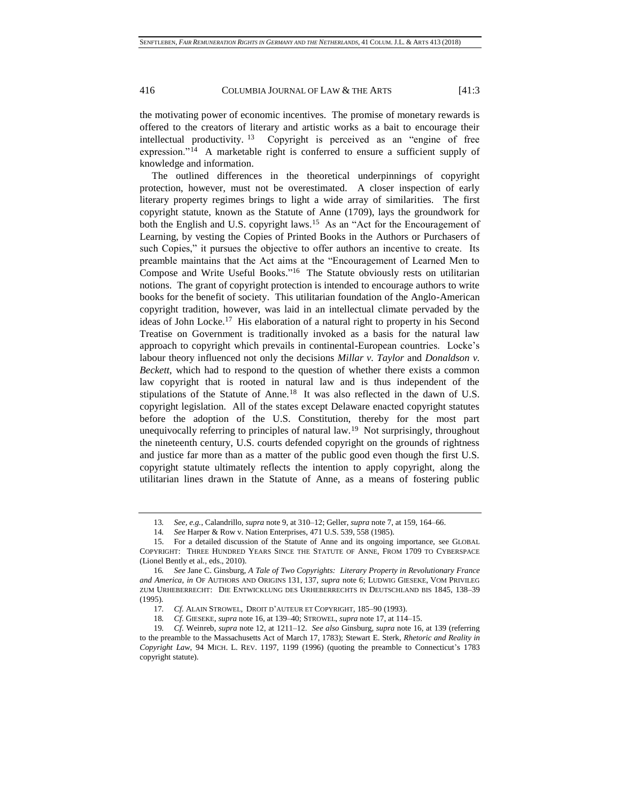the motivating power of economic incentives. The promise of monetary rewards is offered to the creators of literary and artistic works as a bait to encourage their intellectual productivity. <sup>13</sup> Copyright is perceived as an "engine of free expression."<sup>14</sup> A marketable right is conferred to ensure a sufficient supply of knowledge and information.

<span id="page-3-1"></span><span id="page-3-0"></span>The outlined differences in the theoretical underpinnings of copyright protection, however, must not be overestimated. A closer inspection of early literary property regimes brings to light a wide array of similarities. The first copyright statute, known as the Statute of Anne (1709), lays the groundwork for both the English and U.S. copyright laws.<sup>15</sup> As an "Act for the Encouragement of Learning, by vesting the Copies of Printed Books in the Authors or Purchasers of such Copies," it pursues the objective to offer authors an incentive to create. Its preamble maintains that the Act aims at the "Encouragement of Learned Men to Compose and Write Useful Books."<sup>16</sup> The Statute obviously rests on utilitarian notions. The grant of copyright protection is intended to encourage authors to write books for the benefit of society. This utilitarian foundation of the Anglo-American copyright tradition, however, was laid in an intellectual climate pervaded by the ideas of John Locke.<sup>17</sup> His elaboration of a natural right to property in his Second Treatise on Government is traditionally invoked as a basis for the natural law approach to copyright which prevails in continental-European countries. Locke's labour theory influenced not only the decisions *Millar v. Taylor* and *Donaldson v. Beckett*, which had to respond to the question of whether there exists a common law copyright that is rooted in natural law and is thus independent of the stipulations of the Statute of Anne.<sup>18</sup> It was also reflected in the dawn of U.S. copyright legislation. All of the states except Delaware enacted copyright statutes before the adoption of the U.S. Constitution, thereby for the most part unequivocally referring to principles of natural  $law<sup>19</sup>$  Not surprisingly, throughout the nineteenth century, U.S. courts defended copyright on the grounds of rightness and justice far more than as a matter of the public good even though the first U.S. copyright statute ultimately reflects the intention to apply copyright, along the utilitarian lines drawn in the Statute of Anne, as a means of fostering public

<span id="page-3-2"></span><sup>13</sup>*. See, e.g.*, Calandrillo, *supra* not[e 9,](#page-2-3) at 310–12; Geller, *supra* not[e 7,](#page-2-2) at 159, 164–66.

<sup>14</sup>*. See* Harper & Row v. Nation Enterprises, 471 U.S. 539, 558 (1985).

<sup>15.</sup> For a detailed discussion of the Statute of Anne and its ongoing importance, see GLOBAL COPYRIGHT: THREE HUNDRED YEARS SINCE THE STATUTE OF ANNE, FROM 1709 TO CYBERSPACE (Lionel Bently et al., eds., 2010).

<sup>16</sup>*. See* Jane C. Ginsburg, *A Tale of Two Copyrights: Literary Property in Revolutionary France and America*, *in* OF AUTHORS AND ORIGINS 131, 137, *supra* not[e 6;](#page-2-0) LUDWIG GIESEKE, VOM PRIVILEG ZUM URHEBERRECHT: DIE ENTWICKLUNG DES URHEBERRECHTS IN DEUTSCHLAND BIS 1845, 138–39 (1995).

<sup>17</sup>*. Cf.* ALAIN STROWEL, DROIT D'AUTEUR ET COPYRIGHT, 185–90 (1993).

<sup>18</sup>*. Cf.* GIESEKE, *supra* not[e 16,](#page-3-0) at 139–40; STROWEL, *supra* not[e 17,](#page-3-1) at 114–15.

<sup>19</sup>*. Cf.* Weinreb, *supra* not[e 12,](#page-2-4) at 1211–12. *See also* Ginsburg, *supra* not[e 16,](#page-3-0) at 139 (referring to the preamble to the Massachusetts Act of March 17, 1783); Stewart E. Sterk, *Rhetoric and Reality in Copyright Law*, 94 MICH. L. REV. 1197, 1199 (1996) (quoting the preamble to Connecticut's 1783 copyright statute).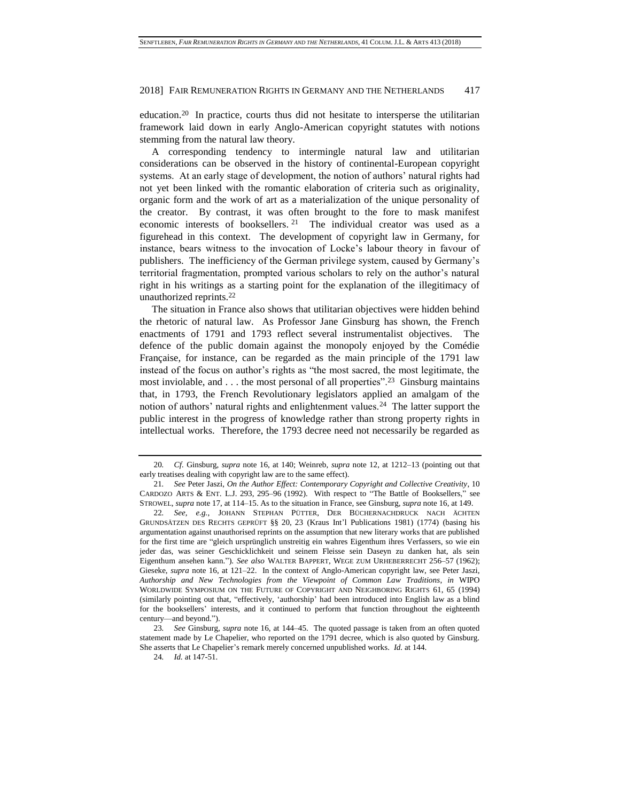education.<sup>20</sup> In practice, courts thus did not hesitate to intersperse the utilitarian framework laid down in early Anglo-American copyright statutes with notions stemming from the natural law theory.

<span id="page-4-0"></span>A corresponding tendency to intermingle natural law and utilitarian considerations can be observed in the history of continental-European copyright systems. At an early stage of development, the notion of authors' natural rights had not yet been linked with the romantic elaboration of criteria such as originality, organic form and the work of art as a materialization of the unique personality of the creator. By contrast, it was often brought to the fore to mask manifest economic interests of booksellers. <sup>21</sup> The individual creator was used as a figurehead in this context. The development of copyright law in Germany, for instance, bears witness to the invocation of Locke's labour theory in favour of publishers. The inefficiency of the German privilege system, caused by Germany's territorial fragmentation, prompted various scholars to rely on the author's natural right in his writings as a starting point for the explanation of the illegitimacy of unauthorized reprints.<sup>22</sup>

The situation in France also shows that utilitarian objectives were hidden behind the rhetoric of natural law. As Professor Jane Ginsburg has shown, the French enactments of 1791 and 1793 reflect several instrumentalist objectives. The defence of the public domain against the monopoly enjoyed by the Comédie Française, for instance, can be regarded as the main principle of the 1791 law instead of the focus on author's rights as "the most sacred, the most legitimate, the most inviolable, and  $\dots$  the most personal of all properties".<sup>23</sup> Ginsburg maintains that, in 1793, the French Revolutionary legislators applied an amalgam of the notion of authors' natural rights and enlightenment values.<sup>24</sup> The latter support the public interest in the progress of knowledge rather than strong property rights in intellectual works. Therefore, the 1793 decree need not necessarily be regarded as

<sup>20</sup>*. Cf.* Ginsburg, *supra* note [16,](#page-3-0) at 140; Weinreb, *supra* not[e 12,](#page-2-4) at 1212–13 (pointing out that early treatises dealing with copyright law are to the same effect).

<sup>21</sup>*. See* Peter Jaszi, *On the Author Effect: Contemporary Copyright and Collective Creativity*, 10 CARDOZO ARTS & ENT. L.J. 293, 295–96 (1992). With respect to "The Battle of Booksellers," see STROWEL, *supra* not[e 17,](#page-3-1) at 114–15. As to the situation in France, see Ginsburg, *supra* not[e 16,](#page-3-0) at 149.

<sup>22</sup>*. See, e.g.*, JOHANN STEPHAN PÜTTER, DER BÜCHERNACHDRUCK NACH ÄCHTEN GRUNDSÄTZEN DES RECHTS GEPRÜFT §§ 20, 23 (Kraus Int'l Publications 1981) (1774) (basing his argumentation against unauthorised reprints on the assumption that new literary works that are published for the first time are "gleich ursprünglich unstreitig ein wahres Eigenthum ihres Verfassers, so wie ein jeder das, was seiner Geschicklichkeit und seinem Fleisse sein Daseyn zu danken hat, als sein Eigenthum ansehen kann."). *See also* WALTER BAPPERT, WEGE ZUM URHEBERRECHT 256–57 (1962); Gieseke, *supra* note [16,](#page-3-0) at 121–22. In the context of Anglo-American copyright law, see Peter Jaszi, *Authorship and New Technologies from the Viewpoint of Common Law Traditions*, *in* WIPO WORLDWIDE SYMPOSIUM ON THE FUTURE OF COPYRIGHT AND NEIGHBORING RIGHTS 61, 65 (1994) (similarly pointing out that, "effectively, 'authorship' had been introduced into English law as a blind for the booksellers' interests, and it continued to perform that function throughout the eighteenth century––and beyond.").

<sup>23</sup>*. See* Ginsburg, *supra* not[e 16,](#page-3-0) at 144–45. The quoted passage is taken from an often quoted statement made by Le Chapelier, who reported on the 1791 decree, which is also quoted by Ginsburg. She asserts that Le Chapelier's remark merely concerned unpublished works. *Id.* at 144.

<sup>24</sup>*. Id.* at 147-51.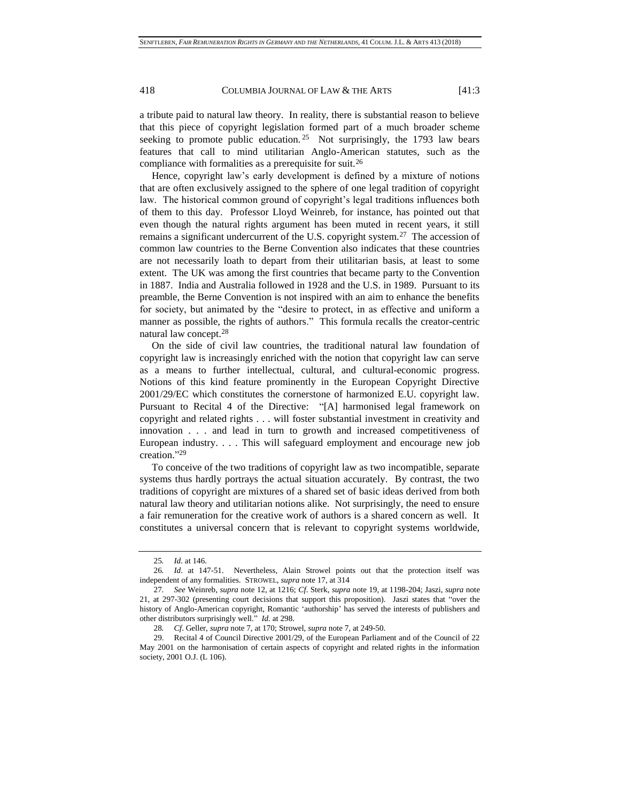a tribute paid to natural law theory. In reality, there is substantial reason to believe that this piece of copyright legislation formed part of a much broader scheme seeking to promote public education.<sup>25</sup> Not surprisingly, the 1793 law bears features that call to mind utilitarian Anglo-American statutes, such as the compliance with formalities as a prerequisite for suit.<sup>26</sup>

Hence, copyright law's early development is defined by a mixture of notions that are often exclusively assigned to the sphere of one legal tradition of copyright law. The historical common ground of copyright's legal traditions influences both of them to this day. Professor Lloyd Weinreb, for instance, has pointed out that even though the natural rights argument has been muted in recent years, it still remains a significant undercurrent of the U.S. copyright system.<sup>27</sup> The accession of common law countries to the Berne Convention also indicates that these countries are not necessarily loath to depart from their utilitarian basis, at least to some extent. The UK was among the first countries that became party to the Convention in 1887. India and Australia followed in 1928 and the U.S. in 1989. Pursuant to its preamble, the Berne Convention is not inspired with an aim to enhance the benefits for society, but animated by the "desire to protect, in as effective and uniform a manner as possible, the rights of authors." This formula recalls the creator-centric natural law concept.<sup>28</sup>

On the side of civil law countries, the traditional natural law foundation of copyright law is increasingly enriched with the notion that copyright law can serve as a means to further intellectual, cultural, and cultural-economic progress. Notions of this kind feature prominently in the European Copyright Directive 2001/29/EC which constitutes the cornerstone of harmonized E.U. copyright law. Pursuant to Recital 4 of the Directive: "[A] harmonised legal framework on copyright and related rights . . . will foster substantial investment in creativity and innovation . . . and lead in turn to growth and increased competitiveness of European industry. . . . This will safeguard employment and encourage new job creation." 29

To conceive of the two traditions of copyright law as two incompatible, separate systems thus hardly portrays the actual situation accurately. By contrast, the two traditions of copyright are mixtures of a shared set of basic ideas derived from both natural law theory and utilitarian notions alike. Not surprisingly, the need to ensure a fair remuneration for the creative work of authors is a shared concern as well. It constitutes a universal concern that is relevant to copyright systems worldwide,

<sup>25</sup>*. Id*. at 146.

<sup>26</sup>*. Id*. at 147-51. Nevertheless, Alain Strowel points out that the protection itself was independent of any formalities. STROWEL, *supra* not[e 17,](#page-3-1) at 314

<sup>27</sup>*. See* Weinreb, *supra* note [12,](#page-2-4) at 1216; *Cf*. Sterk, *supra* not[e 19,](#page-3-2) at 1198-204; Jaszi, *supra* note [21,](#page-4-0) at 297-302 (presenting court decisions that support this proposition). Jaszi states that "over the history of Anglo-American copyright, Romantic 'authorship' has served the interests of publishers and other distributors surprisingly well." *Id.* at 298.

<sup>28</sup>*. Cf*. Geller, *supra* not[e 7,](#page-2-2) at 170; Strowel, *supra* not[e 7,](#page-2-2) at 249-50.

<sup>29.</sup> Recital 4 of Council Directive 2001/29, of the European Parliament and of the Council of 22 May 2001 on the harmonisation of certain aspects of copyright and related rights in the information society, 2001 O.J. (L 106).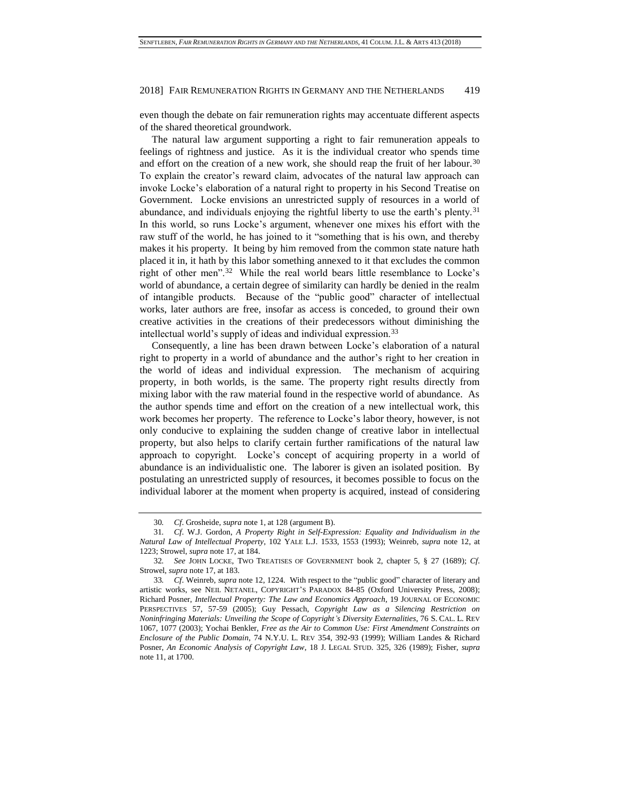even though the debate on fair remuneration rights may accentuate different aspects of the shared theoretical groundwork.

The natural law argument supporting a right to fair remuneration appeals to feelings of rightness and justice. As it is the individual creator who spends time and effort on the creation of a new work, she should reap the fruit of her labour.<sup>30</sup> To explain the creator's reward claim, advocates of the natural law approach can invoke Locke's elaboration of a natural right to property in his Second Treatise on Government. Locke envisions an unrestricted supply of resources in a world of abundance, and individuals enjoying the rightful liberty to use the earth's plenty.<sup>31</sup> In this world, so runs Locke's argument, whenever one mixes his effort with the raw stuff of the world, he has joined to it "something that is his own, and thereby makes it his property. It being by him removed from the common state nature hath placed it in, it hath by this labor something annexed to it that excludes the common right of other men".<sup>32</sup> While the real world bears little resemblance to Locke's world of abundance, a certain degree of similarity can hardly be denied in the realm of intangible products. Because of the "public good" character of intellectual works, later authors are free, insofar as access is conceded, to ground their own creative activities in the creations of their predecessors without diminishing the intellectual world's supply of ideas and individual expression.<sup>33</sup>

Consequently, a line has been drawn between Locke's elaboration of a natural right to property in a world of abundance and the author's right to her creation in the world of ideas and individual expression. The mechanism of acquiring property, in both worlds, is the same. The property right results directly from mixing labor with the raw material found in the respective world of abundance. As the author spends time and effort on the creation of a new intellectual work, this work becomes her property. The reference to Locke's labor theory, however, is not only conducive to explaining the sudden change of creative labor in intellectual property, but also helps to clarify certain further ramifications of the natural law approach to copyright. Locke's concept of acquiring property in a world of abundance is an individualistic one. The laborer is given an isolated position. By postulating an unrestricted supply of resources, it becomes possible to focus on the individual laborer at the moment when property is acquired, instead of considering

<sup>30</sup>*. Cf*. Grosheide, *supra* not[e 1,](#page-0-0) at 128 (argument B).

<sup>31</sup>*. Cf*. W.J. Gordon, *A Property Right in Self-Expression: Equality and Individualism in the Natural Law of Intellectual Property*, 102 YALE L.J. 1533, 1553 (1993); Weinreb, *supra* note [12,](#page-2-4) at 1223; Strowel, *supra* not[e 17,](#page-3-1) at 184.

<sup>32</sup>*. See* JOHN LOCKE, TWO TREATISES OF GOVERNMENT book 2, chapter 5, § 27 (1689); *Cf*. Strowel, *supra* not[e 17,](#page-3-1) at 183.

<sup>33</sup>*. Cf*. Weinreb, *supra* note 12, 1224. With respect to the "public good" character of literary and artistic works, see NEIL NETANEL, COPYRIGHT'S PARADOX 84-85 (Oxford University Press, 2008); Richard Posner, *Intellectual Property: The Law and Economics Approach*, 19 JOURNAL OF ECONOMIC PERSPECTIVES 57, 57-59 (2005); Guy Pessach, *Copyright Law as a Silencing Restriction on Noninfringing Materials: Unveiling the Scope of Copyright's Diversity Externalities*, 76 S. CAL. L. REV 1067, 1077 (2003); Yochai Benkler, *Free as the Air to Common Use: First Amendment Constraints on Enclosure of the Public Domain*, 74 N.Y.U. L. REV 354, 392-93 (1999); William Landes & Richard Posner, *An Economic Analysis of Copyright Law*, 18 J. LEGAL STUD. 325, 326 (1989); Fisher, *supra* note [11,](#page-2-5) at 1700.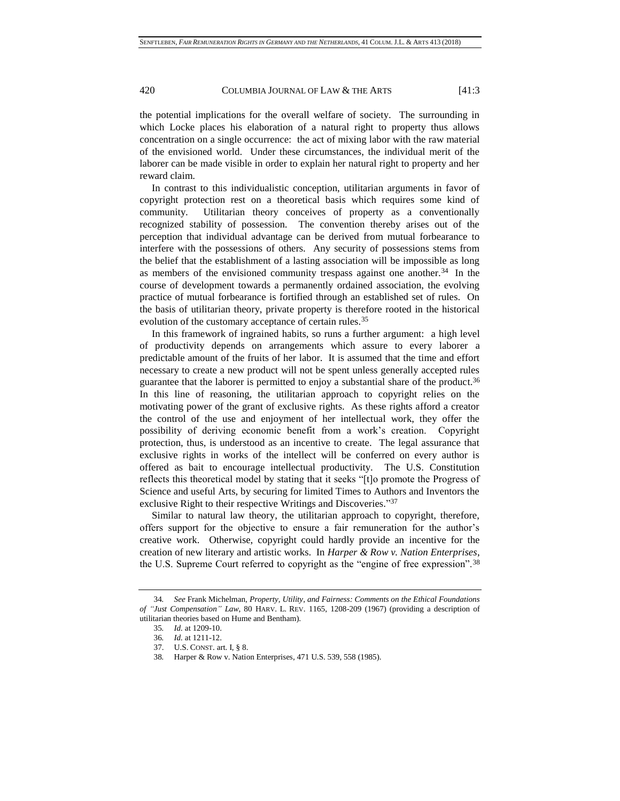the potential implications for the overall welfare of society. The surrounding in which Locke places his elaboration of a natural right to property thus allows concentration on a single occurrence: the act of mixing labor with the raw material of the envisioned world. Under these circumstances, the individual merit of the laborer can be made visible in order to explain her natural right to property and her reward claim.

In contrast to this individualistic conception, utilitarian arguments in favor of copyright protection rest on a theoretical basis which requires some kind of community. Utilitarian theory conceives of property as a conventionally recognized stability of possession. The convention thereby arises out of the perception that individual advantage can be derived from mutual forbearance to interfere with the possessions of others. Any security of possessions stems from the belief that the establishment of a lasting association will be impossible as long as members of the envisioned community trespass against one another.<sup>34</sup> In the course of development towards a permanently ordained association, the evolving practice of mutual forbearance is fortified through an established set of rules. On the basis of utilitarian theory, private property is therefore rooted in the historical evolution of the customary acceptance of certain rules.<sup>35</sup>

In this framework of ingrained habits, so runs a further argument: a high level of productivity depends on arrangements which assure to every laborer a predictable amount of the fruits of her labor. It is assumed that the time and effort necessary to create a new product will not be spent unless generally accepted rules guarantee that the laborer is permitted to enjoy a substantial share of the product.<sup>36</sup> In this line of reasoning, the utilitarian approach to copyright relies on the motivating power of the grant of exclusive rights. As these rights afford a creator the control of the use and enjoyment of her intellectual work, they offer the possibility of deriving economic benefit from a work's creation. Copyright protection, thus, is understood as an incentive to create. The legal assurance that exclusive rights in works of the intellect will be conferred on every author is offered as bait to encourage intellectual productivity. The U.S. Constitution reflects this theoretical model by stating that it seeks "[t]o promote the Progress of Science and useful Arts, by securing for limited Times to Authors and Inventors the exclusive Right to their respective Writings and Discoveries."37

Similar to natural law theory, the utilitarian approach to copyright, therefore, offers support for the objective to ensure a fair remuneration for the author's creative work. Otherwise, copyright could hardly provide an incentive for the creation of new literary and artistic works. In *Harper & Row v. Nation Enterprises*, the U.S. Supreme Court referred to copyright as the "engine of free expression".<sup>38</sup>

<sup>34</sup>*. See* Frank Michelman, *Property, Utility, and Fairness: Comments on the Ethical Foundations of "Just Compensation" Law*, 80 HARV. L. REV. 1165, 1208-209 (1967) (providing a description of utilitarian theories based on Hume and Bentham).

<sup>35</sup>*. Id.* at 1209-10.

<sup>36</sup>*. Id.* at 1211-12.

<sup>37.</sup> U.S. CONST. art. I, § 8.

<sup>38</sup>*.* Harper & Row v. Nation Enterprises, 471 U.S. 539, 558 (1985).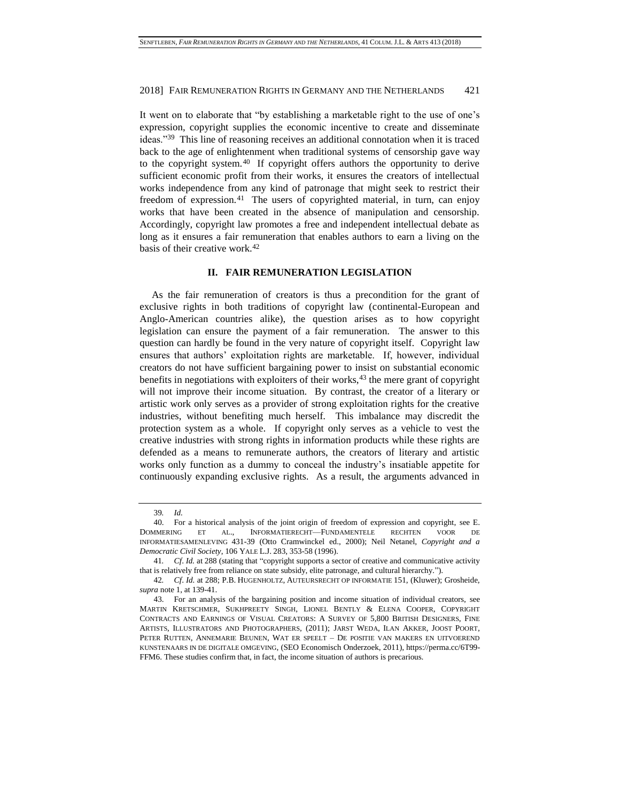It went on to elaborate that "by establishing a marketable right to the use of one's expression, copyright supplies the economic incentive to create and disseminate ideas."<sup>39</sup> This line of reasoning receives an additional connotation when it is traced back to the age of enlightenment when traditional systems of censorship gave way to the copyright system.<sup>40</sup> If copyright offers authors the opportunity to derive sufficient economic profit from their works, it ensures the creators of intellectual works independence from any kind of patronage that might seek to restrict their freedom of expression.<sup>41</sup> The users of copyrighted material, in turn, can enjoy works that have been created in the absence of manipulation and censorship. Accordingly, copyright law promotes a free and independent intellectual debate as long as it ensures a fair remuneration that enables authors to earn a living on the basis of their creative work.<sup>42</sup>

# **II. FAIR REMUNERATION LEGISLATION**

As the fair remuneration of creators is thus a precondition for the grant of exclusive rights in both traditions of copyright law (continental-European and Anglo-American countries alike), the question arises as to how copyright legislation can ensure the payment of a fair remuneration. The answer to this question can hardly be found in the very nature of copyright itself. Copyright law ensures that authors' exploitation rights are marketable. If, however, individual creators do not have sufficient bargaining power to insist on substantial economic benefits in negotiations with exploiters of their works,<sup>43</sup> the mere grant of copyright will not improve their income situation. By contrast, the creator of a literary or artistic work only serves as a provider of strong exploitation rights for the creative industries, without benefiting much herself. This imbalance may discredit the protection system as a whole. If copyright only serves as a vehicle to vest the creative industries with strong rights in information products while these rights are defended as a means to remunerate authors, the creators of literary and artistic works only function as a dummy to conceal the industry's insatiable appetite for continuously expanding exclusive rights. As a result, the arguments advanced in

<sup>39</sup>*. Id.*

<sup>40.</sup> For a historical analysis of the joint origin of freedom of expression and copyright, see E. DOMMERING ET AL., INFORMATIERECHT—FUNDAMENTELE RECHTEN VOOR DE INFORMATIESAMENLEVING 431-39 (Otto Cramwinckel ed., 2000); Neil Netanel, *Copyright and a Democratic Civil Society*, 106 YALE L.J. 283, 353-58 (1996).

<sup>41</sup>*. Cf*. *Id.* at 288 (stating that "copyright supports a sector of creative and communicative activity that is relatively free from reliance on state subsidy, elite patronage, and cultural hierarchy.").

<sup>42</sup>*. Cf*. *Id.* at 288; P.B. HUGENHOLTZ, AUTEURSRECHT OP INFORMATIE 151, (Kluwer); Grosheide, *supra* note 1, at 139-41.

<sup>43.</sup> For an analysis of the bargaining position and income situation of individual creators, see MARTIN KRETSCHMER, SUKHPREETY SINGH, LIONEL BENTLY & ELENA COOPER, COPYRIGHT CONTRACTS AND EARNINGS OF VISUAL CREATORS: A SURVEY OF 5,800 BRITISH DESIGNERS, FINE ARTISTS, ILLUSTRATORS AND PHOTOGRAPHERS, (2011); JARST WEDA, ILAN AKKER, JOOST POORT, PETER RUTTEN, ANNEMARIE BEUNEN, WAT ER SPEELT – DE POSITIE VAN MAKERS EN UITVOEREND KUNSTENAARS IN DE DIGITALE OMGEVING, (SEO Economisch Onderzoek, 2011), https://perma.cc/6T99- FFM6. These studies confirm that, in fact, the income situation of authors is precarious.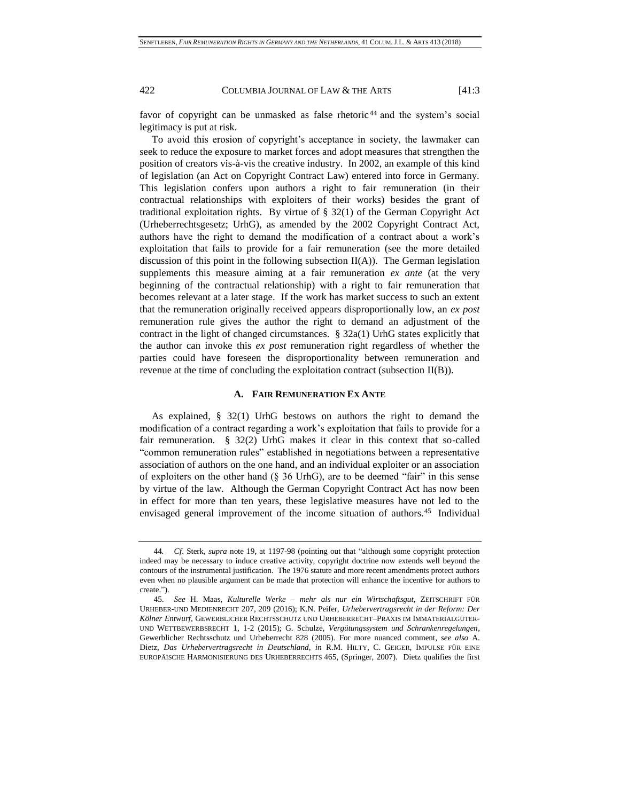favor of copyright can be unmasked as false rhetoric <sup>44</sup> and the system's social legitimacy is put at risk.

To avoid this erosion of copyright's acceptance in society, the lawmaker can seek to reduce the exposure to market forces and adopt measures that strengthen the position of creators vis-à-vis the creative industry. In 2002, an example of this kind of legislation (an Act on Copyright Contract Law) entered into force in Germany. This legislation confers upon authors a right to fair remuneration (in their contractual relationships with exploiters of their works) besides the grant of traditional exploitation rights. By virtue of § 32(1) of the German Copyright Act (Urheberrechtsgesetz; UrhG), as amended by the 2002 Copyright Contract Act, authors have the right to demand the modification of a contract about a work's exploitation that fails to provide for a fair remuneration (see the more detailed discussion of this point in the following subsection  $II(A)$ ). The German legislation supplements this measure aiming at a fair remuneration *ex ante* (at the very beginning of the contractual relationship) with a right to fair remuneration that becomes relevant at a later stage. If the work has market success to such an extent that the remuneration originally received appears disproportionally low, an *ex post* remuneration rule gives the author the right to demand an adjustment of the contract in the light of changed circumstances. § 32a(1) UrhG states explicitly that the author can invoke this *ex post* remuneration right regardless of whether the parties could have foreseen the disproportionality between remuneration and revenue at the time of concluding the exploitation contract (subsection II(B)).

# <span id="page-9-0"></span>**A. FAIR REMUNERATION EX ANTE**

As explained, § 32(1) UrhG bestows on authors the right to demand the modification of a contract regarding a work's exploitation that fails to provide for a fair remuneration. § 32(2) UrhG makes it clear in this context that so-called "common remuneration rules" established in negotiations between a representative association of authors on the one hand, and an individual exploiter or an association of exploiters on the other hand  $(\S$  36 UrhG), are to be deemed "fair" in this sense by virtue of the law. Although the German Copyright Contract Act has now been in effect for more than ten years, these legislative measures have not led to the envisaged general improvement of the income situation of authors.<sup>45</sup> Individual

<sup>44</sup>*. Cf*. Sterk, *supra* note 19, at 1197-98 (pointing out that "although some copyright protection indeed may be necessary to induce creative activity, copyright doctrine now extends well beyond the contours of the instrumental justification. The 1976 statute and more recent amendments protect authors even when no plausible argument can be made that protection will enhance the incentive for authors to create.").

<sup>45.</sup> *See* H. Maas, *Kulturelle Werke – mehr als nur ein Wirtschaftsgut*, ZEITSCHRIFT FÜR URHEBER-UND MEDIENRECHT 207, 209 (2016); K.N. Peifer, *Urhebervertragsrecht in der Reform: Der Kölner Entwurf*, GEWERBLICHER RECHTSSCHUTZ UND URHEBERRECHT–PRAXIS IM IMMATERIALGÜTER-UND WETTBEWERBSRECHT 1, 1-2 (2015); G. Schulze, *Vergütungssystem und Schrankenregelungen*, Gewerblicher Rechtsschutz und Urheberrecht 828 (2005). For more nuanced comment, *see also* A. Dietz, *Das Urhebervertragsrecht in Deutschland*, *in* R.M. HILTY, C. GEIGER, IMPULSE FÜR EINE EUROPÄISCHE HARMONISIERUNG DES URHEBERRECHTS 465, (Springer, 2007). Dietz qualifies the first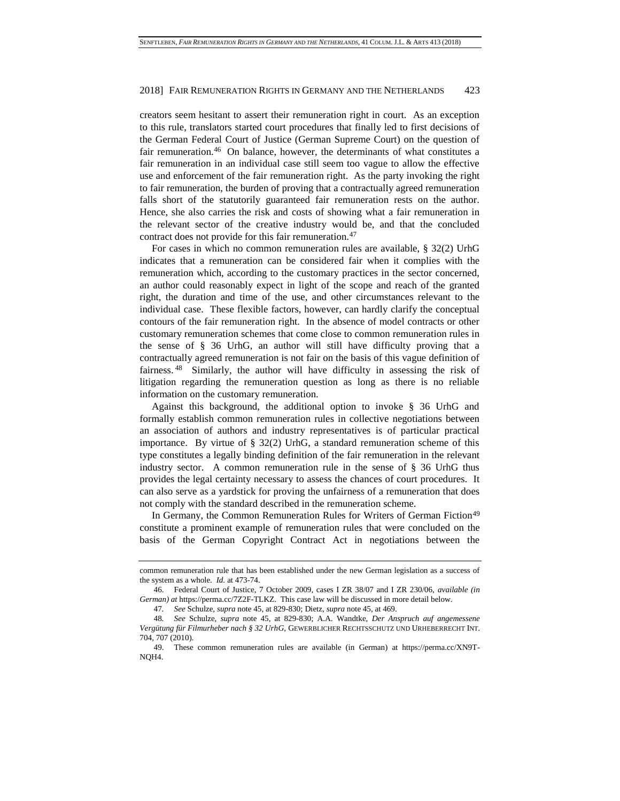creators seem hesitant to assert their remuneration right in court. As an exception to this rule, translators started court procedures that finally led to first decisions of the German Federal Court of Justice (German Supreme Court) on the question of fair remuneration.<sup>46</sup> On balance, however, the determinants of what constitutes a fair remuneration in an individual case still seem too vague to allow the effective use and enforcement of the fair remuneration right. As the party invoking the right to fair remuneration, the burden of proving that a contractually agreed remuneration falls short of the statutorily guaranteed fair remuneration rests on the author. Hence, she also carries the risk and costs of showing what a fair remuneration in the relevant sector of the creative industry would be, and that the concluded contract does not provide for this fair remuneration.<sup>47</sup>

For cases in which no common remuneration rules are available, § 32(2) UrhG indicates that a remuneration can be considered fair when it complies with the remuneration which, according to the customary practices in the sector concerned, an author could reasonably expect in light of the scope and reach of the granted right, the duration and time of the use, and other circumstances relevant to the individual case. These flexible factors, however, can hardly clarify the conceptual contours of the fair remuneration right. In the absence of model contracts or other customary remuneration schemes that come close to common remuneration rules in the sense of § 36 UrhG, an author will still have difficulty proving that a contractually agreed remuneration is not fair on the basis of this vague definition of fairness. <sup>48</sup> Similarly, the author will have difficulty in assessing the risk of litigation regarding the remuneration question as long as there is no reliable information on the customary remuneration.

Against this background, the additional option to invoke § 36 UrhG and formally establish common remuneration rules in collective negotiations between an association of authors and industry representatives is of particular practical importance. By virtue of  $\S$  32(2) UrhG, a standard remuneration scheme of this type constitutes a legally binding definition of the fair remuneration in the relevant industry sector. A common remuneration rule in the sense of § 36 UrhG thus provides the legal certainty necessary to assess the chances of court procedures. It can also serve as a yardstick for proving the unfairness of a remuneration that does not comply with the standard described in the remuneration scheme.

In Germany, the Common Remuneration Rules for Writers of German Fiction<sup>49</sup> constitute a prominent example of remuneration rules that were concluded on the basis of the German Copyright Contract Act in negotiations between the

47*. See* Schulze, *supra* not[e 45,](#page-9-0) at 829-830; Dietz, *supra* not[e 45,](#page-9-0) at 469.

common remuneration rule that has been established under the new German legislation as a success of the system as a whole. *Id.* at 473-74.

<sup>46.</sup> Federal Court of Justice, 7 October 2009, cases I ZR 38/07 and I ZR 230/06, *available (in German) at* https://perma.cc/7Z2F-TLKZ. This case law will be discussed in more detail below.

<sup>48</sup>*. See* Schulze, *supra* note [45,](#page-9-0) at 829-830; A.A. Wandtke, *Der Anspruch auf angemessene Vergütung für Filmurheber nach § 32 UrhG*, GEWERBLICHER RECHTSSCHUTZ UND URHEBERRECHT INT. 704, 707 (2010).

<sup>49.</sup> These common remuneration rules are available (in German) at https://perma.cc/XN9T-NQH4.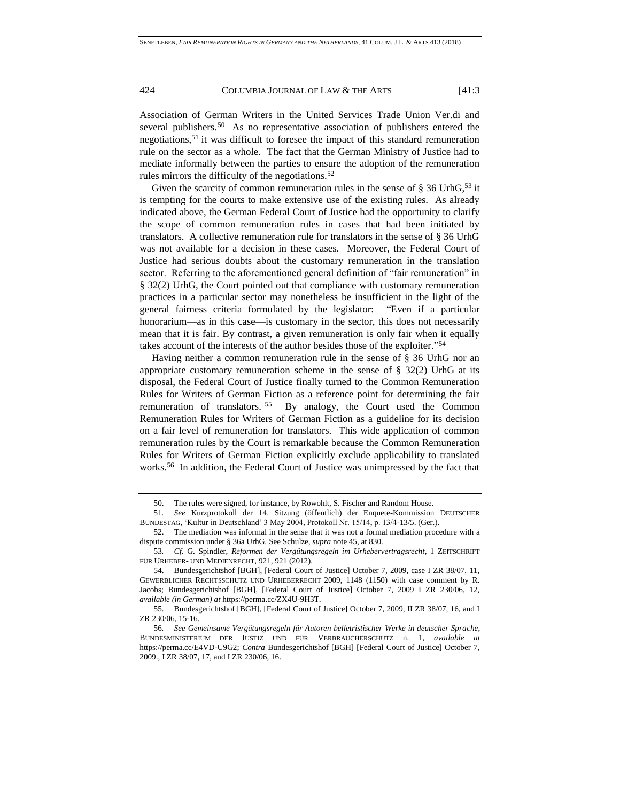Association of German Writers in the United Services Trade Union Ver.di and several publishers.<sup>50</sup> As no representative association of publishers entered the negotiations,<sup>51</sup> it was difficult to foresee the impact of this standard remuneration rule on the sector as a whole. The fact that the German Ministry of Justice had to mediate informally between the parties to ensure the adoption of the remuneration rules mirrors the difficulty of the negotiations.<sup>52</sup>

<span id="page-11-0"></span>Given the scarcity of common remuneration rules in the sense of  $\S 36$  UrhG,<sup>53</sup> it is tempting for the courts to make extensive use of the existing rules. As already indicated above, the German Federal Court of Justice had the opportunity to clarify the scope of common remuneration rules in cases that had been initiated by translators. A collective remuneration rule for translators in the sense of § 36 UrhG was not available for a decision in these cases. Moreover, the Federal Court of Justice had serious doubts about the customary remuneration in the translation sector. Referring to the aforementioned general definition of "fair remuneration" in § 32(2) UrhG, the Court pointed out that compliance with customary remuneration practices in a particular sector may nonetheless be insufficient in the light of the general fairness criteria formulated by the legislator: "Even if a particular honorarium—as in this case—is customary in the sector, this does not necessarily mean that it is fair. By contrast, a given remuneration is only fair when it equally takes account of the interests of the author besides those of the exploiter*.*" 54

Having neither a common remuneration rule in the sense of § 36 UrhG nor an appropriate customary remuneration scheme in the sense of  $\S$  32(2) UrhG at its disposal, the Federal Court of Justice finally turned to the Common Remuneration Rules for Writers of German Fiction as a reference point for determining the fair remuneration of translators.<sup>55</sup> By analogy, the Court used the Common Remuneration Rules for Writers of German Fiction as a guideline for its decision on a fair level of remuneration for translators. This wide application of common remuneration rules by the Court is remarkable because the Common Remuneration Rules for Writers of German Fiction explicitly exclude applicability to translated works.<sup>56</sup> In addition, the Federal Court of Justice was unimpressed by the fact that

<sup>50.</sup> The rules were signed, for instance, by Rowohlt, S. Fischer and Random House.

<sup>51</sup>*. See* Kurzprotokoll der 14. Sitzung (öffentlich) der Enquete-Kommission DEUTSCHER BUNDESTAG, 'Kultur in Deutschland' 3 May 2004, Protokoll Nr. 15/14, p. 13/4-13/5. (Ger.).

<sup>52.</sup> The mediation was informal in the sense that it was not a formal mediation procedure with a dispute commission under § 36a UrhG. See Schulze, *supra* not[e 45,](#page-9-0) at 830.

<sup>53</sup>*. Cf.* G. Spindler, *Reformen der Vergütungsregeln im Urhebervertragsrecht*, 1 ZEITSCHRIFT FÜR URHEBER- UND MEDIENRECHT, 921, 921 (2012).

<sup>54.</sup> Bundesgerichtshof [BGH], [Federal Court of Justice] October 7, 2009, case I ZR 38/07, 11, GEWERBLICHER RECHTSSCHUTZ UND URHEBERRECHT 2009, 1148 (1150) with case comment by R. Jacobs; Bundesgerichtshof [BGH], [Federal Court of Justice] October 7, 2009 I ZR 230/06, 12, *available (in German) at* https://perma.cc/ZX4U-9H3T.

<sup>55.</sup> Bundesgerichtshof [BGH], [Federal Court of Justice] October 7, 2009, II ZR 38/07, 16, and I ZR 230/06, 15-16.

<sup>56</sup>*. See Gemeinsame Vergütungsregeln für Autoren belletristischer Werke in deutscher Sprache*, BUNDESMINISTERIUM DER JUSTIZ UND FÜR VERBRAUCHERSCHUTZ n. 1, *available at* https://perma.cc/E4VD-U9G2; *Contra* Bundesgerichtshof [BGH] [Federal Court of Justice] October 7, 2009., I ZR 38/07, 17, and I ZR 230/06, 16.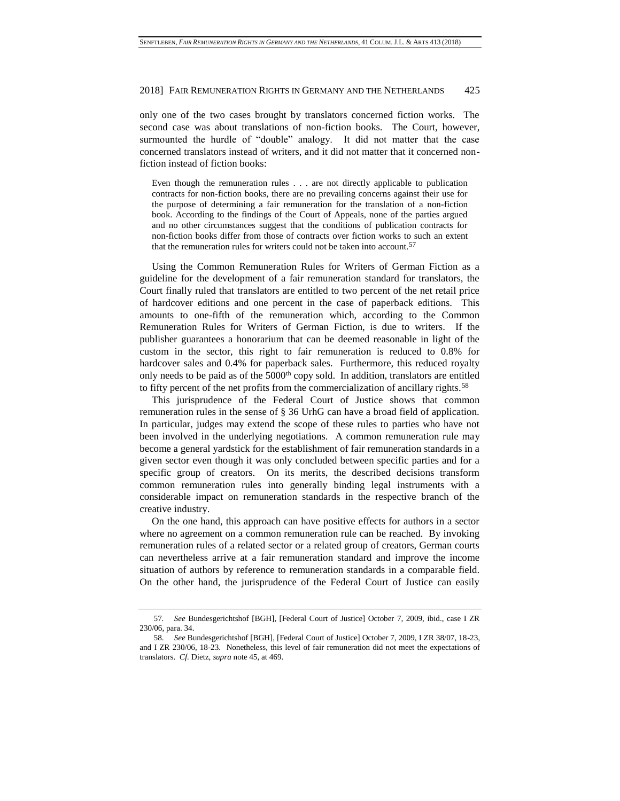only one of the two cases brought by translators concerned fiction works. The second case was about translations of non-fiction books. The Court, however, surmounted the hurdle of "double" analogy. It did not matter that the case concerned translators instead of writers, and it did not matter that it concerned nonfiction instead of fiction books:

Even though the remuneration rules . . . are not directly applicable to publication contracts for non-fiction books, there are no prevailing concerns against their use for the purpose of determining a fair remuneration for the translation of a non-fiction book. According to the findings of the Court of Appeals, none of the parties argued and no other circumstances suggest that the conditions of publication contracts for non-fiction books differ from those of contracts over fiction works to such an extent that the remuneration rules for writers could not be taken into account.<sup>57</sup>

Using the Common Remuneration Rules for Writers of German Fiction as a guideline for the development of a fair remuneration standard for translators, the Court finally ruled that translators are entitled to two percent of the net retail price of hardcover editions and one percent in the case of paperback editions. This amounts to one-fifth of the remuneration which, according to the Common Remuneration Rules for Writers of German Fiction, is due to writers. If the publisher guarantees a honorarium that can be deemed reasonable in light of the custom in the sector, this right to fair remuneration is reduced to 0.8% for hardcover sales and 0.4% for paperback sales. Furthermore, this reduced royalty only needs to be paid as of the  $5000<sup>th</sup>$  copy sold. In addition, translators are entitled to fifty percent of the net profits from the commercialization of ancillary rights.<sup>58</sup>

This jurisprudence of the Federal Court of Justice shows that common remuneration rules in the sense of § 36 UrhG can have a broad field of application. In particular, judges may extend the scope of these rules to parties who have not been involved in the underlying negotiations. A common remuneration rule may become a general yardstick for the establishment of fair remuneration standards in a given sector even though it was only concluded between specific parties and for a specific group of creators. On its merits, the described decisions transform common remuneration rules into generally binding legal instruments with a considerable impact on remuneration standards in the respective branch of the creative industry.

On the one hand, this approach can have positive effects for authors in a sector where no agreement on a common remuneration rule can be reached. By invoking remuneration rules of a related sector or a related group of creators, German courts can nevertheless arrive at a fair remuneration standard and improve the income situation of authors by reference to remuneration standards in a comparable field. On the other hand, the jurisprudence of the Federal Court of Justice can easily

<sup>57</sup>*. See* Bundesgerichtshof [BGH], [Federal Court of Justice] October 7, 2009, ibid., case I ZR 230/06, para. 34.

<sup>58.</sup> *See* Bundesgerichtshof [BGH], [Federal Court of Justice] October 7, 2009, I ZR 38/07, 18-23, and I ZR 230/06, 18-23. Nonetheless, this level of fair remuneration did not meet the expectations of translators. *Cf.* Dietz, *supra* not[e 45,](#page-9-0) at 469.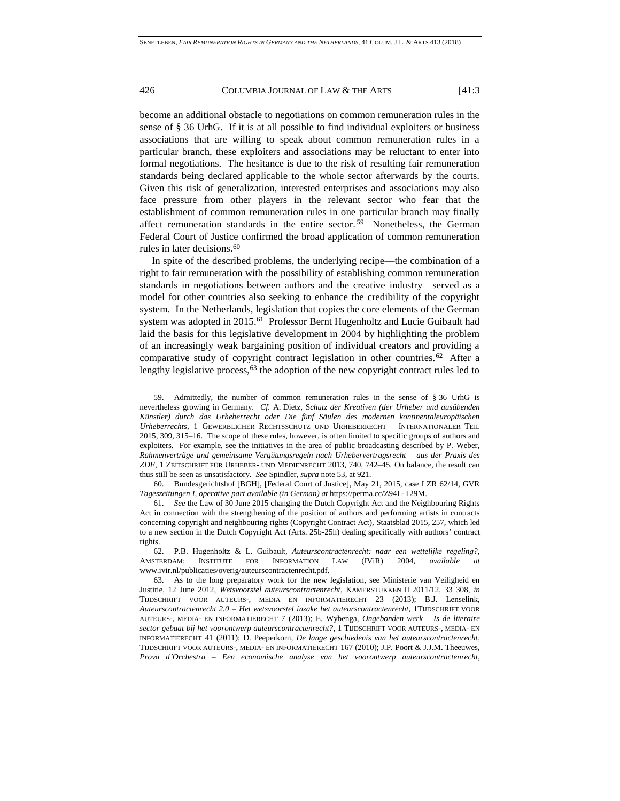become an additional obstacle to negotiations on common remuneration rules in the sense of § 36 UrhG. If it is at all possible to find individual exploiters or business associations that are willing to speak about common remuneration rules in a particular branch, these exploiters and associations may be reluctant to enter into formal negotiations. The hesitance is due to the risk of resulting fair remuneration standards being declared applicable to the whole sector afterwards by the courts. Given this risk of generalization, interested enterprises and associations may also face pressure from other players in the relevant sector who fear that the establishment of common remuneration rules in one particular branch may finally affect remuneration standards in the entire sector.<sup>59</sup> Nonetheless, the German Federal Court of Justice confirmed the broad application of common remuneration rules in later decisions.<sup>60</sup>

In spite of the described problems, the underlying recipe—the combination of a right to fair remuneration with the possibility of establishing common remuneration standards in negotiations between authors and the creative industry—served as a model for other countries also seeking to enhance the credibility of the copyright system. In the Netherlands, legislation that copies the core elements of the German system was adopted in 2015.<sup>61</sup> Professor Bernt Hugenholtz and Lucie Guibault had laid the basis for this legislative development in 2004 by highlighting the problem of an increasingly weak bargaining position of individual creators and providing a comparative study of copyright contract legislation in other countries.<sup>62</sup> After a lengthy legislative process,  $63$  the adoption of the new copyright contract rules led to

62. P.B. Hugenholtz & L. Guibault, *Auteurscontractenrecht: naar een wettelijke regeling?,* AMSTERDAM: INSTITUTE FOR INFORMATION LAW (IViR) 2004, *available at* www.ivir.nl/publicaties/overig/auteurscontractenrecht.pdf.

<span id="page-13-0"></span><sup>59.</sup> Admittedly, the number of common remuneration rules in the sense of § 36 UrhG is nevertheless growing in Germany. *Cf.* A. Dietz, S*chutz der Kreativen (der Urheber und ausübenden Künstler) durch das Urheberrecht oder Die fünf Säulen des modernen kontinentaleuropäischen Urheberrechts*, 1 GEWERBLICHER RECHTSSCHUTZ UND URHEBERRECHT – INTERNATIONALER TEIL 2015, 309, 315–16. The scope of these rules, however, is often limited to specific groups of authors and exploiters. For example, see the initiatives in the area of public broadcasting described by P. Weber, *Rahmenverträge und gemeinsame Vergütungsregeln nach Urhebervertragsrecht – aus der Praxis des ZDF*, 1 ZEITSCHRIFT FÜR URHEBER- UND MEDIENRECHT 2013, 740, 742–45. On balance, the result can thus still be seen as unsatisfactory. *See* Spindler, *supra* note [53,](#page-11-0) at 921.

<sup>60.</sup> Bundesgerichtshof [BGH], [Federal Court of Justice], May 21, 2015, case I ZR 62/14, GVR *Tageszeitungen I*, *operative part available (in German) at* https://perma.cc/Z94L-T29M.

<sup>61.</sup> *See* the Law of 30 June 2015 changing the Dutch Copyright Act and the Neighbouring Rights Act in connection with the strengthening of the position of authors and performing artists in contracts concerning copyright and neighbouring rights (Copyright Contract Act), Staatsblad 2015, 257, which led to a new section in the Dutch Copyright Act (Arts. 25b-25h) dealing specifically with authors' contract rights.

<sup>63.</sup> As to the long preparatory work for the new legislation, see Ministerie van Veiligheid en Justitie, 12 June 2012, *Wetsvoorstel auteurscontractenrecht*, KAMERSTUKKEN II 2011/12, 33 308, *in* TIJDSCHRIFT VOOR AUTEURS-, MEDIA EN INFORMATIERECHT 23 (2013); B.J. Lenselink, *Auteurscontractenrecht 2.0 – Het wetsvoorstel inzake het auteurscontractenrecht*, 1TIJDSCHRIFT VOOR AUTEURS-, MEDIA- EN INFORMATIERECHT 7 (2013); E. Wybenga, *Ongebonden werk – Is de literaire sector gebaat bij het voorontwerp auteurscontractenrecht?*, 1 TIJDSCHRIFT VOOR AUTEURS-, MEDIA- EN INFORMATIERECHT 41 (2011); D. Peeperkorn, *De lange geschiedenis van het auteurscontractenrecht*, TIJDSCHRIFT VOOR AUTEURS-, MEDIA- EN INFORMATIERECHT 167 (2010); J.P. Poort & J.J.M. Theeuwes, *Prova d'Orchestra – Een economische analyse van het voorontwerp auteurscontractenrecht*,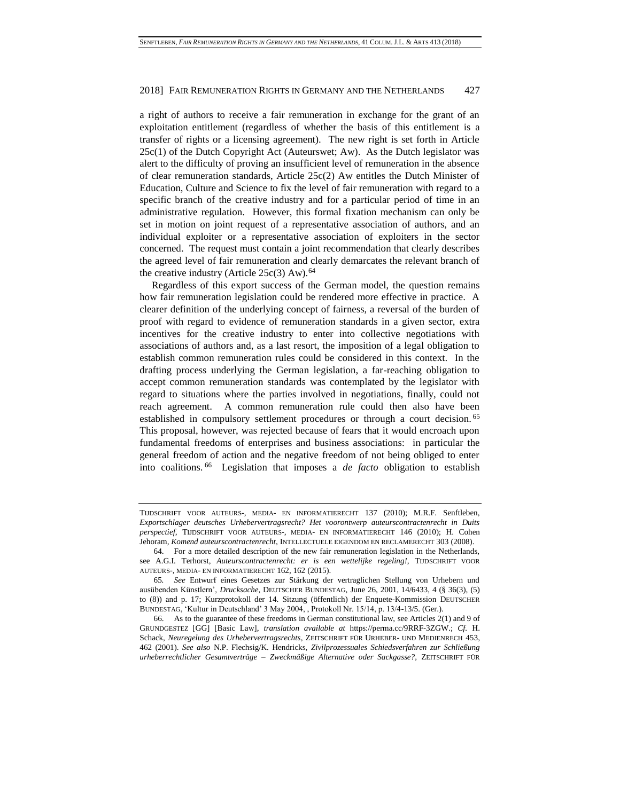a right of authors to receive a fair remuneration in exchange for the grant of an exploitation entitlement (regardless of whether the basis of this entitlement is a transfer of rights or a licensing agreement). The new right is set forth in Article  $25c(1)$  of the Dutch Copyright Act (Auteurswet; Aw). As the Dutch legislator was alert to the difficulty of proving an insufficient level of remuneration in the absence of clear remuneration standards, Article 25c(2) Aw entitles the Dutch Minister of Education, Culture and Science to fix the level of fair remuneration with regard to a specific branch of the creative industry and for a particular period of time in an administrative regulation. However, this formal fixation mechanism can only be set in motion on joint request of a representative association of authors, and an individual exploiter or a representative association of exploiters in the sector concerned. The request must contain a joint recommendation that clearly describes the agreed level of fair remuneration and clearly demarcates the relevant branch of the creative industry (Article  $25c(3)$  Aw).<sup>64</sup>

Regardless of this export success of the German model, the question remains how fair remuneration legislation could be rendered more effective in practice. A clearer definition of the underlying concept of fairness, a reversal of the burden of proof with regard to evidence of remuneration standards in a given sector, extra incentives for the creative industry to enter into collective negotiations with associations of authors and, as a last resort, the imposition of a legal obligation to establish common remuneration rules could be considered in this context. In the drafting process underlying the German legislation, a far-reaching obligation to accept common remuneration standards was contemplated by the legislator with regard to situations where the parties involved in negotiations, finally, could not reach agreement. A common remuneration rule could then also have been established in compulsory settlement procedures or through a court decision.<sup>65</sup> This proposal, however, was rejected because of fears that it would encroach upon fundamental freedoms of enterprises and business associations: in particular the general freedom of action and the negative freedom of not being obliged to enter into coalitions. <sup>66</sup> Legislation that imposes a *de facto* obligation to establish

TIJDSCHRIFT VOOR AUTEURS-, MEDIA- EN INFORMATIERECHT 137 (2010); M.R.F. Senftleben, *Exportschlager deutsches Urhebervertragsrecht? Het voorontwerp auteurscontractenrecht in Duits perspectief*, TIJDSCHRIFT VOOR AUTEURS-, MEDIA- EN INFORMATIERECHT 146 (2010); H. Cohen Jehoram*, Komend auteurscontractenrecht*, INTELLECTUELE EIGENDOM EN RECLAMERECHT 303 (2008).

<sup>64.</sup> For a more detailed description of the new fair remuneration legislation in the Netherlands, see A.G.I. Terhorst, *Auteurscontractenrecht: er is een wettelijke regeling!*, TIJDSCHRIFT VOOR AUTEURS-, MEDIA- EN INFORMATIERECHT 162, 162 (2015).

<sup>65</sup>*. See* Entwurf eines Gesetzes zur Stärkung der vertraglichen Stellung von Urhebern und ausübenden Künstlern', *Drucksache*, DEUTSCHER BUNDESTAG, June 26, 2001, 14/6433, 4 (§ 36(3), (5) to (8)) and p. 17; Kurzprotokoll der 14. Sitzung (öffentlich) der Enquete-Kommission DEUTSCHER BUNDESTAG, 'Kultur in Deutschland' 3 May 2004, , Protokoll Nr. 15/14, p. 13/4-13/5. (Ger.).

<sup>66.</sup> As to the guarantee of these freedoms in German constitutional law, see Articles 2(1) and 9 of GRUNDGESTEZ [GG] [Basic Law], *translation available at* https://perma.cc/9RRF-3ZGW.; *Cf.* H. Schack, *Neuregelung des Urhebervertragsrechts*, ZEITSCHRIFT FÜR URHEBER- UND MEDIENRECH 453, 462 (2001). *See also* N.P. Flechsig/K. Hendricks, *Zivilprozessuales Schiedsverfahren zur Schließung urheberrechtlicher Gesamtverträge – Zweckmäßige Alternative oder Sackgasse?*, ZEITSCHRIFT FÜR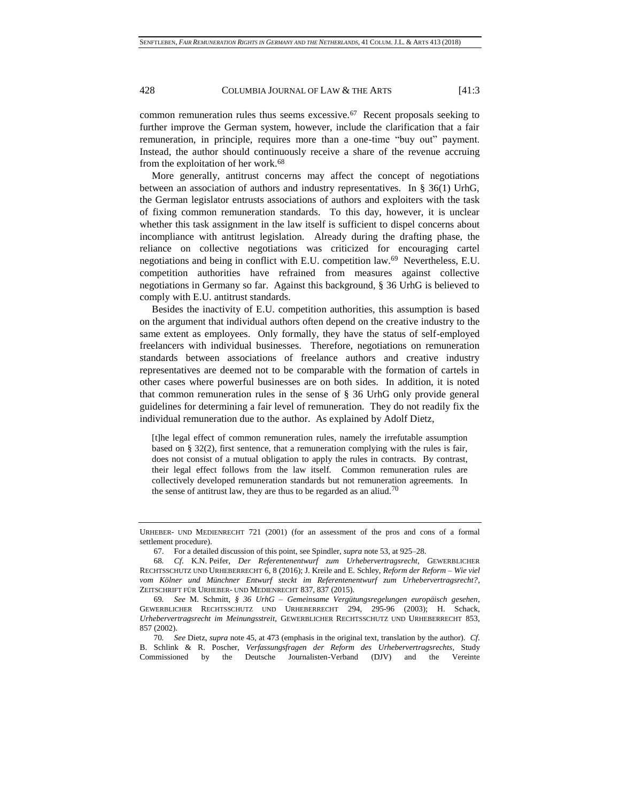common remuneration rules thus seems excessive.<sup>67</sup> Recent proposals seeking to further improve the German system, however, include the clarification that a fair remuneration, in principle, requires more than a one-time "buy out" payment. Instead, the author should continuously receive a share of the revenue accruing from the exploitation of her work.<sup>68</sup>

More generally, antitrust concerns may affect the concept of negotiations between an association of authors and industry representatives. In § 36(1) UrhG, the German legislator entrusts associations of authors and exploiters with the task of fixing common remuneration standards. To this day, however, it is unclear whether this task assignment in the law itself is sufficient to dispel concerns about incompliance with antitrust legislation. Already during the drafting phase, the reliance on collective negotiations was criticized for encouraging cartel negotiations and being in conflict with E.U. competition law.<sup>69</sup> Nevertheless, E.U. competition authorities have refrained from measures against collective negotiations in Germany so far. Against this background, § 36 UrhG is believed to comply with E.U. antitrust standards.

Besides the inactivity of E.U. competition authorities, this assumption is based on the argument that individual authors often depend on the creative industry to the same extent as employees. Only formally, they have the status of self-employed freelancers with individual businesses. Therefore, negotiations on remuneration standards between associations of freelance authors and creative industry representatives are deemed not to be comparable with the formation of cartels in other cases where powerful businesses are on both sides. In addition, it is noted that common remuneration rules in the sense of § 36 UrhG only provide general guidelines for determining a fair level of remuneration. They do not readily fix the individual remuneration due to the author. As explained by Adolf Dietz,

[t]he legal effect of common remuneration rules, namely the irrefutable assumption based on  $\S 32(2)$ , first sentence, that a remuneration complying with the rules is fair, does not consist of a mutual obligation to apply the rules in contracts. By contrast, their legal effect follows from the law itself. Common remuneration rules are collectively developed remuneration standards but not remuneration agreements. In the sense of antitrust law, they are thus to be regarded as an aliud.<sup>70</sup>

70*. See* Dietz, *supra* not[e 45,](#page-9-0) at 473 (emphasis in the original text, translation by the author). *Cf.* B. Schlink & R. Poscher, *Verfassungsfragen der Reform des Urhebervertragsrechts*, Study Commissioned by the Deutsche Journalisten-Verband (DJV) and the Vereinte

URHEBER- UND MEDIENRECHT 721 (2001) (for an assessment of the pros and cons of a formal settlement procedure).

<sup>67.</sup> For a detailed discussion of this point, see Spindler, *supra* not[e 53,](#page-11-0) at 925–28.

<sup>68</sup>*. Cf.* K.N. Peifer, *Der Referentenentwurf zum Urhebervertragsrecht*, GEWERBLICHER RECHTSSCHUTZ UND URHEBERRECHT 6, 8 (2016); J. Kreile and E. Schley, *Reform der Reform – Wie viel vom Kölner und Münchner Entwurf steckt im Referentenentwurf zum Urhebervertragsrecht?*, ZEITSCHRIFT FÜR URHEBER- UND MEDIENRECHT 837, 837 (2015).

<sup>69</sup>*. See* M. Schmitt, *§ 36 UrhG – Gemeinsame Vergütungsregelungen europäisch gesehen*, GEWERBLICHER RECHTSSCHUTZ UND URHEBERRECHT 294, 295-96 (2003); H. Schack, *Urhebervertragsrecht im Meinungsstreit*, GEWERBLICHER RECHTSSCHUTZ UND URHEBERRECHT 853, 857 (2002).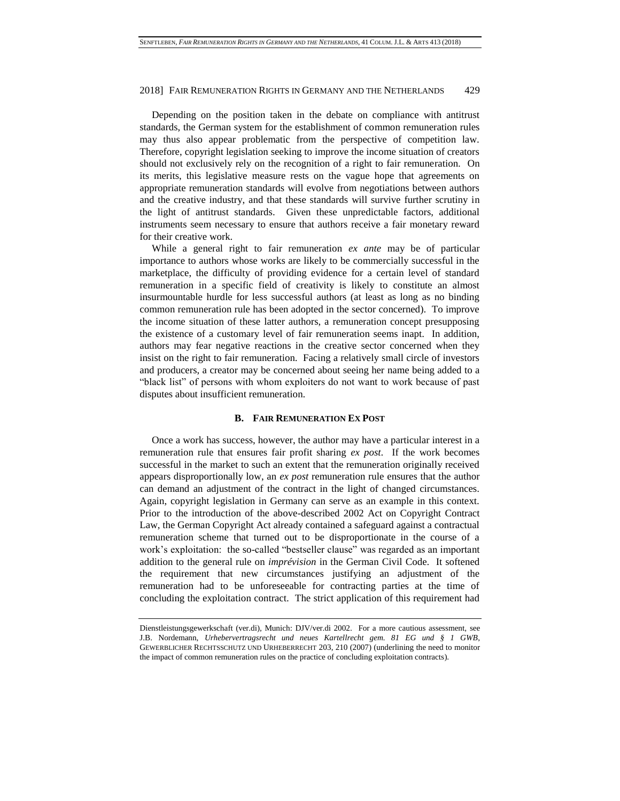Depending on the position taken in the debate on compliance with antitrust standards, the German system for the establishment of common remuneration rules may thus also appear problematic from the perspective of competition law. Therefore, copyright legislation seeking to improve the income situation of creators should not exclusively rely on the recognition of a right to fair remuneration. On its merits, this legislative measure rests on the vague hope that agreements on appropriate remuneration standards will evolve from negotiations between authors and the creative industry, and that these standards will survive further scrutiny in the light of antitrust standards. Given these unpredictable factors, additional instruments seem necessary to ensure that authors receive a fair monetary reward for their creative work.

While a general right to fair remuneration *ex ante* may be of particular importance to authors whose works are likely to be commercially successful in the marketplace, the difficulty of providing evidence for a certain level of standard remuneration in a specific field of creativity is likely to constitute an almost insurmountable hurdle for less successful authors (at least as long as no binding common remuneration rule has been adopted in the sector concerned). To improve the income situation of these latter authors, a remuneration concept presupposing the existence of a customary level of fair remuneration seems inapt. In addition, authors may fear negative reactions in the creative sector concerned when they insist on the right to fair remuneration. Facing a relatively small circle of investors and producers, a creator may be concerned about seeing her name being added to a "black list" of persons with whom exploiters do not want to work because of past disputes about insufficient remuneration.

# **B. FAIR REMUNERATION EX POST**

Once a work has success, however, the author may have a particular interest in a remuneration rule that ensures fair profit sharing *ex post*. If the work becomes successful in the market to such an extent that the remuneration originally received appears disproportionally low, an *ex post* remuneration rule ensures that the author can demand an adjustment of the contract in the light of changed circumstances. Again, copyright legislation in Germany can serve as an example in this context. Prior to the introduction of the above-described 2002 Act on Copyright Contract Law, the German Copyright Act already contained a safeguard against a contractual remuneration scheme that turned out to be disproportionate in the course of a work's exploitation: the so-called "bestseller clause" was regarded as an important addition to the general rule on *imprévision* in the German Civil Code. It softened the requirement that new circumstances justifying an adjustment of the remuneration had to be unforeseeable for contracting parties at the time of concluding the exploitation contract. The strict application of this requirement had

Dienstleistungsgewerkschaft (ver.di), Munich: DJV/ver.di 2002. For a more cautious assessment, see J.B. Nordemann, *Urhebervertragsrecht und neues Kartellrecht gem. 81 EG und § 1 GWB*, GEWERBLICHER RECHTSSCHUTZ UND URHEBERRECHT 203, 210 (2007) (underlining the need to monitor the impact of common remuneration rules on the practice of concluding exploitation contracts).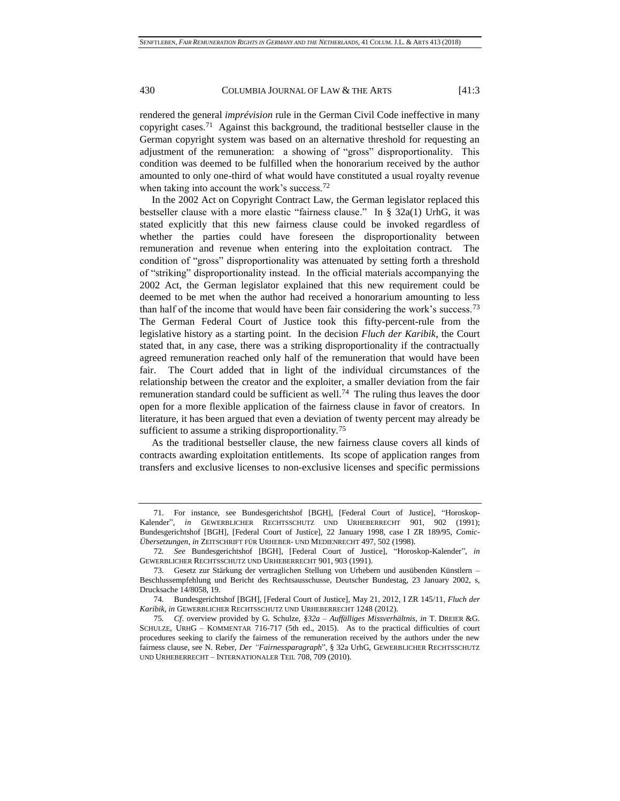rendered the general *imprévision* rule in the German Civil Code ineffective in many copyright cases.<sup>71</sup> Against this background, the traditional bestseller clause in the German copyright system was based on an alternative threshold for requesting an adjustment of the remuneration: a showing of "gross" disproportionality. This condition was deemed to be fulfilled when the honorarium received by the author amounted to only one-third of what would have constituted a usual royalty revenue when taking into account the work's success.<sup>72</sup>

In the 2002 Act on Copyright Contract Law, the German legislator replaced this bestseller clause with a more elastic "fairness clause." In § 32a(1) UrhG, it was stated explicitly that this new fairness clause could be invoked regardless of whether the parties could have foreseen the disproportionality between remuneration and revenue when entering into the exploitation contract. The condition of "gross" disproportionality was attenuated by setting forth a threshold of "striking" disproportionality instead. In the official materials accompanying the 2002 Act, the German legislator explained that this new requirement could be deemed to be met when the author had received a honorarium amounting to less than half of the income that would have been fair considering the work's success.<sup>73</sup> The German Federal Court of Justice took this fifty-percent-rule from the legislative history as a starting point. In the decision *Fluch der Karibik*, the Court stated that, in any case, there was a striking disproportionality if the contractually agreed remuneration reached only half of the remuneration that would have been fair. The Court added that in light of the individual circumstances of the relationship between the creator and the exploiter, a smaller deviation from the fair remuneration standard could be sufficient as well.<sup>74</sup> The ruling thus leaves the door open for a more flexible application of the fairness clause in favor of creators. In literature, it has been argued that even a deviation of twenty percent may already be sufficient to assume a striking disproportionality.<sup>75</sup>

As the traditional bestseller clause, the new fairness clause covers all kinds of contracts awarding exploitation entitlements. Its scope of application ranges from transfers and exclusive licenses to non-exclusive licenses and specific permissions

<sup>71.</sup> For instance, see Bundesgerichtshof [BGH], [Federal Court of Justice], "Horoskop-Kalender", *in* GEWERBLICHER RECHTSSCHUTZ UND URHEBERRECHT 901, 902 (1991); Bundesgerichtshof [BGH], [Federal Court of Justice], 22 January 1998, case I ZR 189/95, *Comic-Übersetzungen*, *in* ZEITSCHRIFT FÜR URHEBER- UND MEDIENRECHT 497, 502 (1998).

<sup>72</sup>*. See* Bundesgerichtshof [BGH], [Federal Court of Justice], "Horoskop-Kalender", *in* GEWERBLICHER RECHTSSCHUTZ UND URHEBERRECHT 901, 903 (1991).

<sup>73.</sup> Gesetz zur Stärkung der vertraglichen Stellung von Urhebern und ausübenden Künstlern – Beschlussempfehlung und Bericht des Rechtsausschusse, Deutscher Bundestag, 23 January 2002, s, Drucksache 14/8058, 19.

<sup>74.</sup> Bundesgerichtshof [BGH], [Federal Court of Justice], May 21, 2012, I ZR 145/11, *Fluch der Karibik*, *in* GEWERBLICHER RECHTSSCHUTZ UND URHEBERRECHT 1248 (2012).

<sup>75</sup>*. Cf*. overview provided by G. Schulze, *§32a – Auffälliges Missverhältnis*, *in* T. DREIER &G. SCHULZE, URHG – KOMMENTAR 716-717 (5th ed., 2015). As to the practical difficulties of court procedures seeking to clarify the fairness of the remuneration received by the authors under the new fairness clause, see N. Reber, *Der "Fairnessparagraph*", § 32a UrhG, GEWERBLICHER RECHTSSCHUTZ UND URHEBERRECHT – INTERNATIONALER TEIL 708, 709 (2010).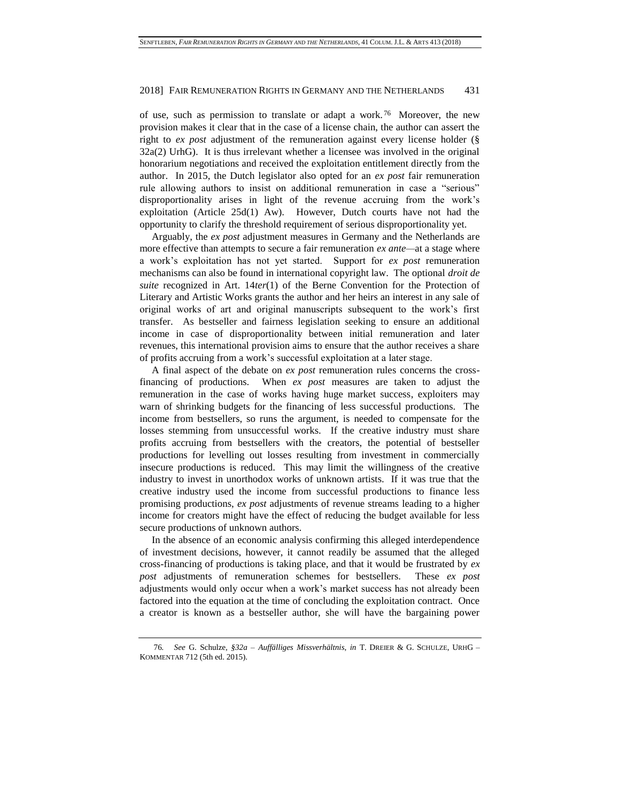of use, such as permission to translate or adapt a work. <sup>76</sup> Moreover, the new provision makes it clear that in the case of a license chain, the author can assert the right to *ex post* adjustment of the remuneration against every license holder (§ 32a(2) UrhG). It is thus irrelevant whether a licensee was involved in the original honorarium negotiations and received the exploitation entitlement directly from the author. In 2015, the Dutch legislator also opted for an *ex post* fair remuneration rule allowing authors to insist on additional remuneration in case a "serious" disproportionality arises in light of the revenue accruing from the work's exploitation (Article 25d(1) Aw). However, Dutch courts have not had the opportunity to clarify the threshold requirement of serious disproportionality yet.

Arguably, the *ex post* adjustment measures in Germany and the Netherlands are more effective than attempts to secure a fair remuneration *ex ante—*at a stage where a work's exploitation has not yet started. Support for *ex post* remuneration mechanisms can also be found in international copyright law. The optional *droit de suite* recognized in Art. 14*ter*(1) of the Berne Convention for the Protection of Literary and Artistic Works grants the author and her heirs an interest in any sale of original works of art and original manuscripts subsequent to the work's first transfer. As bestseller and fairness legislation seeking to ensure an additional income in case of disproportionality between initial remuneration and later revenues, this international provision aims to ensure that the author receives a share of profits accruing from a work's successful exploitation at a later stage.

A final aspect of the debate on *ex post* remuneration rules concerns the crossfinancing of productions. When *ex post* measures are taken to adjust the remuneration in the case of works having huge market success, exploiters may warn of shrinking budgets for the financing of less successful productions. The income from bestsellers, so runs the argument, is needed to compensate for the losses stemming from unsuccessful works. If the creative industry must share profits accruing from bestsellers with the creators, the potential of bestseller productions for levelling out losses resulting from investment in commercially insecure productions is reduced. This may limit the willingness of the creative industry to invest in unorthodox works of unknown artists. If it was true that the creative industry used the income from successful productions to finance less promising productions, *ex post* adjustments of revenue streams leading to a higher income for creators might have the effect of reducing the budget available for less secure productions of unknown authors.

In the absence of an economic analysis confirming this alleged interdependence of investment decisions, however, it cannot readily be assumed that the alleged cross-financing of productions is taking place, and that it would be frustrated by *ex post* adjustments of remuneration schemes for bestsellers. These *ex post* adjustments would only occur when a work's market success has not already been factored into the equation at the time of concluding the exploitation contract. Once a creator is known as a bestseller author, she will have the bargaining power

<sup>76</sup>*. See* G. Schulze, *§32a – Auffälliges Missverhältnis*, *in* T. DREIER & G. SCHULZE, URHG – KOMMENTAR 712 (5th ed. 2015).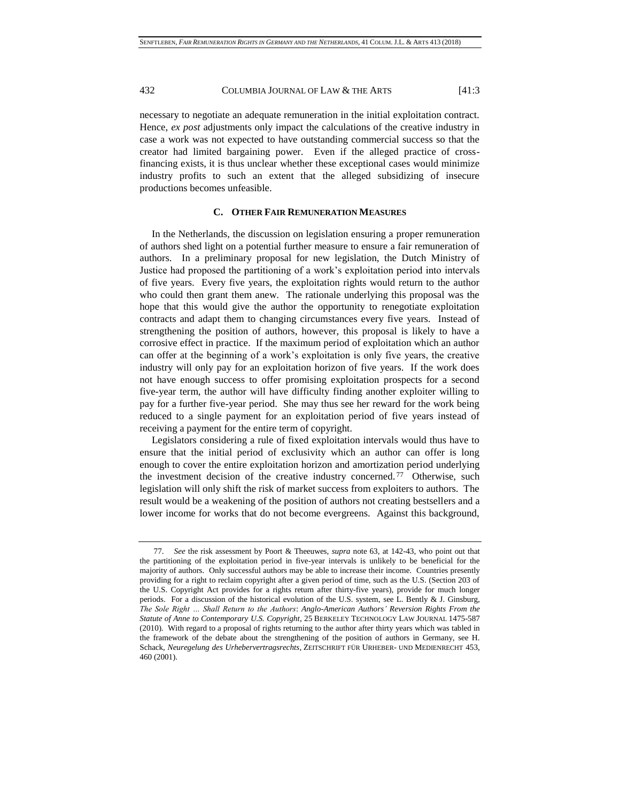necessary to negotiate an adequate remuneration in the initial exploitation contract. Hence, *ex post* adjustments only impact the calculations of the creative industry in case a work was not expected to have outstanding commercial success so that the creator had limited bargaining power. Even if the alleged practice of crossfinancing exists, it is thus unclear whether these exceptional cases would minimize industry profits to such an extent that the alleged subsidizing of insecure productions becomes unfeasible.

### **C. OTHER FAIR REMUNERATION MEASURES**

In the Netherlands, the discussion on legislation ensuring a proper remuneration of authors shed light on a potential further measure to ensure a fair remuneration of authors. In a preliminary proposal for new legislation, the Dutch Ministry of Justice had proposed the partitioning of a work's exploitation period into intervals of five years. Every five years, the exploitation rights would return to the author who could then grant them anew. The rationale underlying this proposal was the hope that this would give the author the opportunity to renegotiate exploitation contracts and adapt them to changing circumstances every five years. Instead of strengthening the position of authors, however, this proposal is likely to have a corrosive effect in practice. If the maximum period of exploitation which an author can offer at the beginning of a work's exploitation is only five years, the creative industry will only pay for an exploitation horizon of five years. If the work does not have enough success to offer promising exploitation prospects for a second five-year term, the author will have difficulty finding another exploiter willing to pay for a further five-year period. She may thus see her reward for the work being reduced to a single payment for an exploitation period of five years instead of receiving a payment for the entire term of copyright.

Legislators considering a rule of fixed exploitation intervals would thus have to ensure that the initial period of exclusivity which an author can offer is long enough to cover the entire exploitation horizon and amortization period underlying the investment decision of the creative industry concerned.<sup>77</sup> Otherwise, such legislation will only shift the risk of market success from exploiters to authors. The result would be a weakening of the position of authors not creating bestsellers and a lower income for works that do not become evergreens. Against this background,

<sup>77.</sup> *See* the risk assessment by Poort & Theeuwes, *supra* note [63,](#page-13-0) at 142-43, who point out that the partitioning of the exploitation period in five-year intervals is unlikely to be beneficial for the majority of authors. Only successful authors may be able to increase their income. Countries presently providing for a right to reclaim copyright after a given period of time, such as the U.S. (Section 203 of the U.S. Copyright Act provides for a rights return after thirty-five years), provide for much longer periods. For a discussion of the historical evolution of the U.S. system, see L. Bently & J. Ginsburg, *The Sole Right … Shall Return to the Authors*: *Anglo-American Authors' Reversion Rights From the Statute of Anne to Contemporary U.S. Copyright*, 25 BERKELEY TECHNOLOGY LAW JOURNAL 1475-587 (2010). With regard to a proposal of rights returning to the author after thirty years which was tabled in the framework of the debate about the strengthening of the position of authors in Germany, see H. Schack, *Neuregelung des Urhebervertragsrechts*, ZEITSCHRIFT FÜR URHEBER- UND MEDIENRECHT 453, 460 (2001).